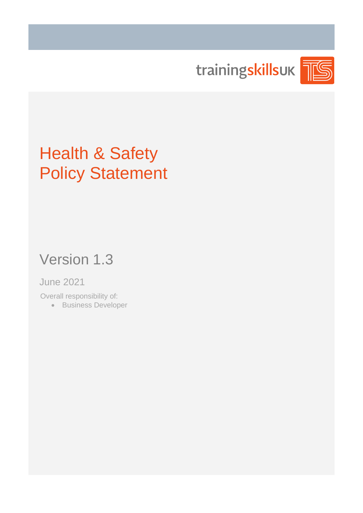trainingskillsuk

# Health & Safety Policy Statement

## Version 1.3

### June 2021

Overall responsibility of:

• Business Developer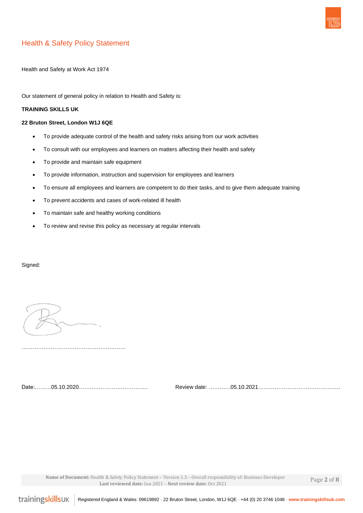

#### Health & Safety Policy Statement

Health and Safety at Work Act 1974

Our statement of general policy in relation to Health and Safety is:

#### **TRAINING SKILLS UK**

#### **22 Bruton Street, London W1J 6QE**

- To provide adequate control of the health and safety risks arising from our work activities
- To consult with our employees and learners on matters affecting their health and safety
- To provide and maintain safe equipment
- To provide information, instruction and supervision for employees and learners
- To ensure all employees and learners are competent to do their tasks, and to give them adequate training
- To prevent accidents and cases of work-related ill health
- To maintain safe and healthy working conditions
- To review and revise this policy as necessary at regular intervals

#### Signed:

Date:………05.10.2020……………………………….. Review date: …………05.10.2021………………………………………

 **Name of Document:** Health & Safety Policy Statement – Version 1.3 – Overall responsibility of: Business Developer **Last reviewed date:** Jun 2021 – **Next review date:** Oct 2021

Page **2** of **8**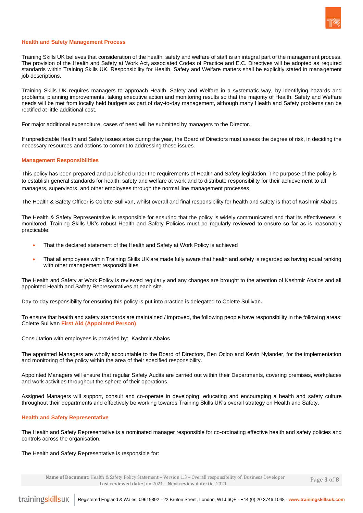

#### **Health and Safety Management Process**

Training Skills UK believes that consideration of the health, safety and welfare of staff is an integral part of the management process. The provision of the Health and Safety at Work Act, associated Codes of Practice and E.C. Directives will be adopted as required standards within Training Skills UK. Responsibility for Health, Safety and Welfare matters shall be explicitly stated in management job descriptions.

Training Skills UK requires managers to approach Health, Safety and Welfare in a systematic way, by identifying hazards and problems, planning improvements, taking executive action and monitoring results so that the majority of Health, Safety and Welfare needs will be met from locally held budgets as part of day-to-day management, although many Health and Safety problems can be rectified at little additional cost.

For major additional expenditure, cases of need will be submitted by managers to the Director.

If unpredictable Health and Safety issues arise during the year, the Board of Directors must assess the degree of risk, in deciding the necessary resources and actions to commit to addressing these issues.

#### **Management Responsibilities**

This policy has been prepared and published under the requirements of Health and Safety legislation. The purpose of the policy is to establish general standards for health, safety and welfare at work and to distribute responsibility for their achievement to all managers, supervisors, and other employees through the normal line management processes.

The Health & Safety Officer is Colette Sullivan, whilst overall and final responsibility for health and safety is that of Kashmir Abalos.

The Health & Safety Representative is responsible for ensuring that the policy is widely communicated and that its effectiveness is monitored. Training Skills UK's robust Health and Safety Policies must be regularly reviewed to ensure so far as is reasonably practicable:

- That the declared statement of the Health and Safety at Work Policy is achieved
- That all employees within Training Skills UK are made fully aware that health and safety is regarded as having equal ranking with other management responsibilities

The Health and Safety at Work Policy is reviewed regularly and any changes are brought to the attention of Kashmir Abalos and all appointed Health and Safety Representatives at each site.

Day-to-day responsibility for ensuring this policy is put into practice is delegated to Colette Sullivan**.**

To ensure that health and safety standards are maintained / improved, the following people have responsibility in the following areas: Colette Sullivan **First Aid (Appointed Person)**

Consultation with employees is provided by:Kashmir Abalos

The appointed Managers are wholly accountable to the Board of Directors, Ben Ocloo and Kevin Nylander, for the implementation and monitoring of the policy within the area of their specified responsibility.

Appointed Managers will ensure that regular Safety Audits are carried out within their Departments, covering premises, workplaces and work activities throughout the sphere of their operations.

Assigned Managers will support, consult and co-operate in developing, educating and encouraging a health and safety culture throughout their departments and effectively be working towards Training Skills UK's overall strategy on Health and Safety.

#### **Health and Safety Representative**

The Health and Safety Representative is a nominated manager responsible for co-ordinating effective health and safety policies and controls across the organisation.

The Health and Safety Representative is responsible for:

 **Name of Document:** Health & Safety Policy Statement – Version 1.3 – Overall responsibility of: Business Developer **Last reviewed date:** Jun 2021 – **Next review date:** Oct 2021

Page **3** of **8**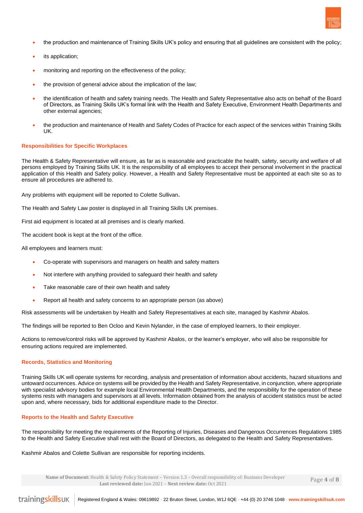

- the production and maintenance of Training Skills UK's policy and ensuring that all guidelines are consistent with the policy;
- its application;
- monitoring and reporting on the effectiveness of the policy;
- the provision of general advice about the implication of the law;
- the identification of health and safety training needs. The Health and Safety Representative also acts on behalf of the Board of Directors, as Training Skills UK's formal link with the Health and Safety Executive, Environment Health Departments and other external agencies;
- the production and maintenance of Health and Safety Codes of Practice for each aspect of the services within Training Skills UK.

#### **Responsibilities for Specific Workplaces**

The Health & Safety Representative will ensure, as far as is reasonable and practicable the health, safety, security and welfare of all persons employed by Training Skills UK. It is the responsibility of all employees to accept their personal involvement in the practical application of this Health and Safety policy. However, a Health and Safety Representative must be appointed at each site so as to ensure all procedures are adhered to.

Any problems with equipment will be reported to Colette Sullivan**.**

The Health and Safety Law poster is displayed in all Training Skills UK premises.

First aid equipment is located at all premises and is clearly marked.

The accident book is kept at the front of the office.

All employees and learners must:

- Co-operate with supervisors and managers on health and safety matters
- Not interfere with anything provided to safeguard their health and safety
- Take reasonable care of their own health and safety
- Report all health and safety concerns to an appropriate person (as above)

Risk assessments will be undertaken by Health and Safety Representatives at each site, managed by Kashmir Abalos.

The findings will be reported to Ben Ocloo and Kevin Nylander, in the case of employed learners, to their employer.

Actions to remove/control risks will be approved by Kashmir Abalos, or the learner's employer, who will also be responsible for ensuring actions required are implemented.

#### **Records, Statistics and Monitoring**

Training Skills UK will operate systems for recording, analysis and presentation of information about accidents, hazard situations and untoward occurrences. Advice on systems will be provided by the Health and Safety Representative, in conjunction, where appropriate with specialist advisory bodies for example local Environmental Health Departments, and the responsibility for the operation of these systems rests with managers and supervisors at all levels. Information obtained from the analysis of accident statistics must be acted upon and, where necessary, bids for additional expenditure made to the Director.

#### **Reports to the Health and Safety Executive**

The responsibility for meeting the requirements of the Reporting of Injuries, Diseases and Dangerous Occurrences Regulations 1985 to the Health and Safety Executive shall rest with the Board of Directors, as delegated to the Health and Safety Representatives.

#### Kashmir Abalos and Colette Sullivan are responsible for reporting incidents.

 **Name of Document:** Health & Safety Policy Statement – Version 1.3 – Overall responsibility of: Business Developer **Last reviewed date:** Jun 2021 – **Next review date:** Oct 2021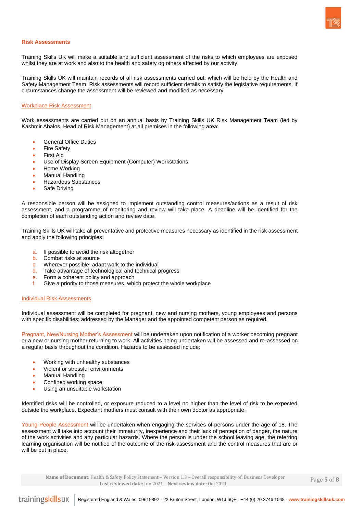

#### **Risk Assessments**

Training Skills UK will make a suitable and sufficient assessment of the risks to which employees are exposed whilst they are at work and also to the health and safety og others affected by our activity.

Training Skills UK will maintain records of all risk assessments carried out, which will be held by the Health and Safety Management Team. Risk assessments will record sufficient details to satisfy the legislative requirements. If circumstances change the assessment will be reviewed and modified as necessary.

#### Workplace Risk Assessment

Work assessments are carried out on an annual basis by Training Skills UK Risk Management Team (led by Kashmir Abalos, Head of Risk Management) at all premises in the following area:

- General Office Duties
- **Fire Safety**
- First Aid
- Use of Display Screen Equipment (Computer) Workstations
- Home Working
- **Manual Handling**
- Hazardous Substances
- Safe Driving

A responsible person will be assigned to implement outstanding control measures/actions as a result of risk assessment, and a programme of monitoring and review will take place. A deadline will be identified for the completion of each outstanding action and review date.

Training Skills UK will take all preventative and protective measures necessary as identified in the risk assessment and apply the following principles:

- a. If possible to avoid the risk altogether
- b. Combat risks at source
- c. Wherever possible, adapt work to the individual
- d. Take advantage of technological and technical progress
- e. Form a coherent policy and approach
- f. Give a priority to those measures, which protect the whole workplace

#### **Individual Risk Assessments**

Individual assessment will be completed for pregnant, new and nursing mothers, young employees and persons with specific disabilities; addressed by the Manager and the appointed competent person as required.

Pregnant, New/Nursing Mother's Assessment will be undertaken upon notification of a worker becoming pregnant or a new or nursing mother returning to work. All activities being undertaken will be assessed and re-assessed on a regular basis throughout the condition. Hazards to be assessed include:

- Working with unhealthy substances
- Violent or stressful environments
- Manual Handling
- Confined working space
- Using an unsuitable workstation

Identified risks will be controlled, or exposure reduced to a level no higher than the level of risk to be expected outside the workplace. Expectant mothers must consult with their own doctor as appropriate.

Young People Assessment will be undertaken when engaging the services of persons under the age of 18. The assessment will take into account their immaturity, inexperience and their lack of perception of danger, the nature of the work activities and any particular hazards. Where the person is under the school leaving age, the referring learning organisation will be notified of the outcome of the risk-assessment and the control measures that are or will be put in place.

 **Name of Document:** Health & Safety Policy Statement – Version 1.3 – Overall responsibility of: Business Developer **Last reviewed date:** Jun 2021 – **Next review date:** Oct 2021

Page **5** of **8**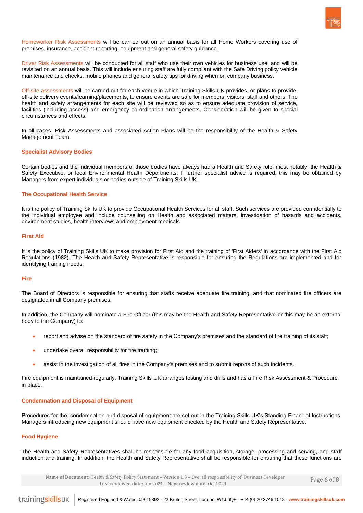

Homeworker Risk Assessments will be carried out on an annual basis for all Home Workers covering use of premises, insurance, accident reporting, equipment and general safety guidance.

Driver Risk Assessments will be conducted for all staff who use their own vehicles for business use, and will be revisited on an annual basis. This will include ensuring staff are fully compliant with the Safe Driving policy vehicle maintenance and checks, mobile phones and general safety tips for driving when on company business.

Off-site assessments will be carried out for each venue in which Training Skills UK provides, or plans to provide, off-site delivery events/learning/placements, to ensure events are safe for members, visitors, staff and others. The health and safety arrangements for each site will be reviewed so as to ensure adequate provision of service, facilities (including access) and emergency co-ordination arrangements. Consideration will be given to special circumstances and effects.

In all cases, Risk Assessments and associated Action Plans will be the responsibility of the Health & Safety Management Team.

#### **Specialist Advisory Bodies**

Certain bodies and the individual members of those bodies have always had a Health and Safety role, most notably, the Health & Safety Executive, or local Environmental Health Departments. If further specialist advice is required, this may be obtained by Managers from expert individuals or bodies outside of Training Skills UK.

#### **The Occupational Health Service**

It is the policy of Training Skills UK to provide Occupational Health Services for all staff. Such services are provided confidentially to the individual employee and include counselling on Health and associated matters, investigation of hazards and accidents, environment studies, health interviews and employment medicals.

#### **First Aid**

It is the policy of Training Skills UK to make provision for First Aid and the training of 'First Aiders' in accordance with the First Aid Regulations (1982). The Health and Safety Representative is responsible for ensuring the Regulations are implemented and for identifying training needs.

#### **Fire**

The Board of Directors is responsible for ensuring that staffs receive adequate fire training, and that nominated fire officers are designated in all Company premises.

In addition, the Company will nominate a Fire Officer (this may be the Health and Safety Representative or this may be an external body to the Company) to:

- report and advise on the standard of fire safety in the Company's premises and the standard of fire training of its staff;
- undertake overall responsibility for fire training;
- assist in the investigation of all fires in the Company's premises and to submit reports of such incidents.

Fire equipment is maintained regularly. Training Skills UK arranges testing and drills and has a Fire Risk Assessment & Procedure in place.

#### **Condemnation and Disposal of Equipment**

Procedures for the, condemnation and disposal of equipment are set out in the Training Skills UK's Standing Financial Instructions. Managers introducing new equipment should have new equipment checked by the Health and Safety Representative.

#### **Food Hygiene**

The Health and Safety Representatives shall be responsible for any food acquisition, storage, processing and serving, and staff induction and training. In addition, the Health and Safety Representative shall be responsible for ensuring that these functions are

 **Name of Document:** Health & Safety Policy Statement – Version 1.3 – Overall responsibility of: Business Developer **Last reviewed date:** Jun 2021 – **Next review date:** Oct 2021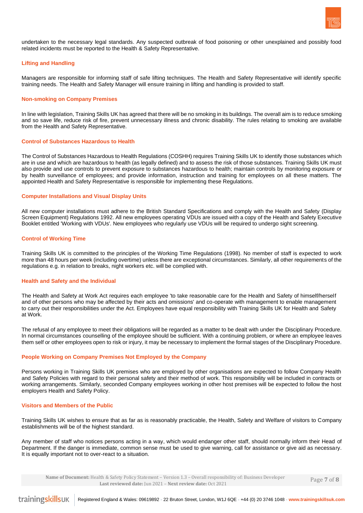

undertaken to the necessary legal standards. Any suspected outbreak of food poisoning or other unexplained and possibly food related incidents must be reported to the Health & Safety Representative.

#### **Lifting and Handling**

Managers are responsible for informing staff of safe lifting techniques. The Health and Safety Representative will identify specific training needs. The Health and Safety Manager will ensure training in lifting and handling is provided to staff.

#### **Non-smoking on Company Premises**

In line with legislation, Training Skills UK has agreed that there will be no smoking in its buildings. The overall aim is to reduce smoking and so save life, reduce risk of fire, prevent unnecessary illness and chronic disability. The rules relating to smoking are available from the Health and Safety Representative.

#### **Control of Substances Hazardous to Health**

The Control of Substances Hazardous to Health Regulations (COSHH) requires Training Skills UK to identify those substances which are in use and which are hazardous to health (as legally defined) and to assess the risk of those substances. Training Skills UK must also provide and use controls to prevent exposure to substances hazardous to health; maintain controls by monitoring exposure or by health surveillance of employees; and provide information, instruction and training for employees on all these matters. The appointed Health and Safety Representative is responsible for implementing these Regulations.

#### **Computer Installations and Visual Display Units**

All new computer installations must adhere to the British Standard Specifications and comply with the Health and Safety (Display Screen Equipment) Regulations 1992. All new employees operating VDUs are issued with a copy of the Health and Safety Executive Booklet entitled 'Working with VDUs'. New employees who regularly use VDUs will be required to undergo sight screening.

#### **Control of Working Time**

Training Skills UK is committed to the principles of the Working Time Regulations (1998). No member of staff is expected to work more than 48 hours per week (including overtime) unless there are exceptional circumstances. Similarly, all other requirements of the regulations e.g. in relation to breaks, night workers etc. will be complied with.

#### **Health and Safety and the Individual**

The Health and Safety at Work Act requires each employee 'to take reasonable care for the Health and Safety of himself/herself and of other persons who may be affected by their acts and omissions' and co-operate with management to enable management to carry out their responsibilities under the Act. Employees have equal responsibility with Training Skills UK for Health and Safety at Work.

The refusal of any employee to meet their obligations will be regarded as a matter to be dealt with under the Disciplinary Procedure. In normal circumstances counselling of the employee should be sufficient. With a continuing problem, or where an employee leaves them self or other employees open to risk or injury, it may be necessary to implement the formal stages of the Disciplinary Procedure.

#### **People Working on Company Premises Not Employed by the Company**

Persons working in Training Skills UK premises who are employed by other organisations are expected to follow Company Health and Safety Policies with regard to their personal safety and their method of work. This responsibility will be included in contracts or working arrangements. Similarly, seconded Company employees working in other host premises will be expected to follow the host employers Health and Safety Policy.

#### **Visitors and Members of the Public**

Training Skills UK wishes to ensure that as far as is reasonably practicable, the Health, Safety and Welfare of visitors to Company establishments will be of the highest standard.

Any member of staff who notices persons acting in a way, which would endanger other staff, should normally inform their Head of Department. If the danger is immediate, common sense must be used to give warning, call for assistance or give aid as necessary. It is equally important not to over-react to a situation.

 **Name of Document:** Health & Safety Policy Statement – Version 1.3 – Overall responsibility of: Business Developer **Last reviewed date:** Jun 2021 – **Next review date:** Oct 2021

Page **7** of **8**